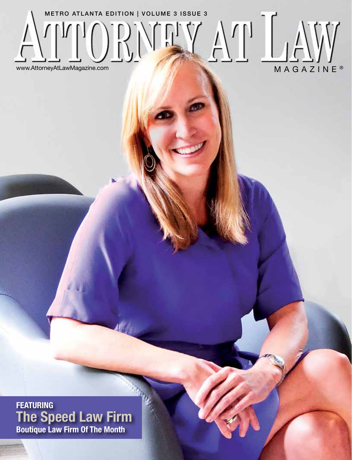

**FEATURING The Speed Law Firm Boutique Law Firm Of The Month**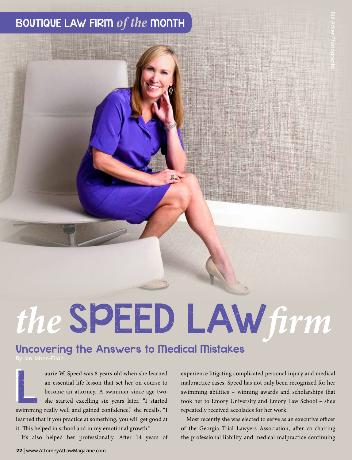# BOUTIQUE LAW FIRM *of the* MONTH

# *the* SPEED LAW*firm* T<br>
The professional linguity and medical malpractice cases, Speed has not only been recognized for her<br>
experience litigating complicated personal injury and medical<br>
malpractice cases, Speed has not only been recognized f

## Uncovering the Answers to Medical Mistakes

an Jaben-Eilon

aurie W. Speed was 8 years old when she learned an essential life lesson that set her on course to become an attorney. A swimmer since age two, she started excelling six years later. "I started swimming really well and gained confidence," she recalls. "I learned that if you practice at something, you will get good at it. This helped in school and in my emotional growth."

It's also helped her professionally. After 14 years of

aurie W. Speed was 8 years old when she learned<br>an essential life lesson that set her on course to malpractice cases, Speed has not only been recognized for her<br>become an attorney. A swimmer since age two, swimming abiliti malpractice cases, Speed has not only been recognized for her swimming abilities – winning awards and scholarships that took her to Emory University and Emory Law School – she's repeatedly received accolades for her work.

> Most recently she was elected to serve as an executive officer of the Georgia Trial Lawyers Association, after co-chairing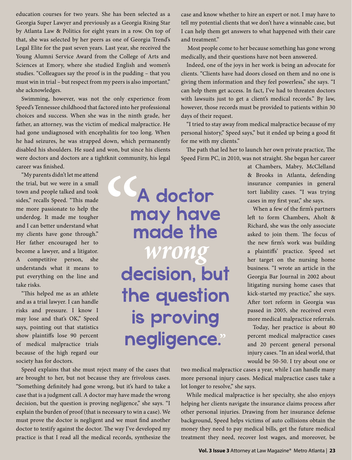education courses for two years. She has been selected as a Georgia Super Lawyer and previously as a Georgia Rising Star by Atlanta Law & Politics for eight years in a row. On top of that, she was selected by her peers as one of Georgia Trend's Legal Elite for the past seven years. Last year, she received the Young Alumni Service Award from the College of Arts and Sciences at Emory, where she studied English and women's studies. "Colleagues say the proof is in the pudding – that you must win in trial – but respect from my peers is also important," she acknowledges.

Swimming, however, was not the only experience from Speed's Tennessee childhood that factored into her professional choices and success. When she was in the ninth grade, her father, an attorney, was the victim of medical malpractice. He had gone undiagnosed with encephalitis for too long. When he had seizures, he was strapped down, which permanently disabled his shoulders. He sued and won, but since his clients were doctors and doctors are a tightknit community, his legal career was finished.

CC,

"My parents didn't let me attend the trial, but we were in a small town and people talked and took sides," recalls Speed. "This made me more passionate to help the underdog. It made me tougher and I can better understand what my clients have gone through." Her father encouraged her to become a lawyer, and a litigator. A competitive person, she understands what it means to put everything on the line and take risks.

"This helped me as an athlete and as a trial lawyer. I can handle risks and pressure. I know I may lose and that's OK," Speed says, pointing out that statistics show plaintiffs lose 90 percent of medical malpractice trials because of the high regard our society has for doctors.

Speed explains that she must reject many of the cases that are brought to her, but not because they are frivolous cases. "Something definitely had gone wrong, but it's hard to take a case that is a judgment call. A doctor may have made the wrong decision, but the question is proving negligence," she says. "I explain the burden of proof (that is necessary to win a case). We must prove the doctor is negligent and we must find another doctor to testify against the doctor. The way I've developed my practice is that I read all the medical records, synthesize the case and know whether to hire an expert or not. I may have to tell my potential clients that we don't have a winnable case, but I can help them get answers to what happened with their care and treatment."

 Most people come to her because something has gone wrong medically, and their questions have not been answered.

Indeed, one of the joys in her work is being an advocate for clients. "Clients have had doors closed on them and no one is giving them information and they feel powerless," she says. "I can help them get access. In fact, I've had to threaten doctors with lawsuits just to get a client's medical records." By law, however, those records must be provided to patients within 30 days of their request.

"I tried to stay away from medical malpractice because of my personal history," Speed says," but it ended up being a good fit for me with my clients."

The path that led her to launch her own private practice, The Speed Firm PC, in 2010, was not straight. She began her career

A doctor

may have

made the

*wrong* 

decision, but

the question

is proving

negligence.**"**

at Chambers, Mabry, McClelland & Brooks in Atlanta, defending insurance companies in general tort liability cases. "I was trying cases in my first year," she says.

When a few of the firm's partners left to form Chambers, Aholt & Richard, she was the only associate asked to join them. The focus of the new firm's work was building a plaintiffs' practice. Speed set her target on the nursing home business. "I wrote an article in the Georgia Bar Journal in 2002 about litigating nursing home cases that kick-started my practice," she says. After tort reform in Georgia was passed in 2005, she received even more medical malpractice referrals.

Today, her practice is about 80 percent medical malpractice cases and 20 percent general personal injury cases. "In an ideal world, that would be 50-50. I try about one or

two medical malpractice cases a year, while I can handle many more personal injury cases. Medical malpractice cases take a lot longer to resolve," she says.

While medical malpractice is her specialty, she also enjoys helping her clients navigate the insurance claims process after other personal injuries. Drawing from her insurance defense background, Speed helps victims of auto collisions obtain the money they need to pay medical bills, get the future medical treatment they need, recover lost wages, and moreover, be